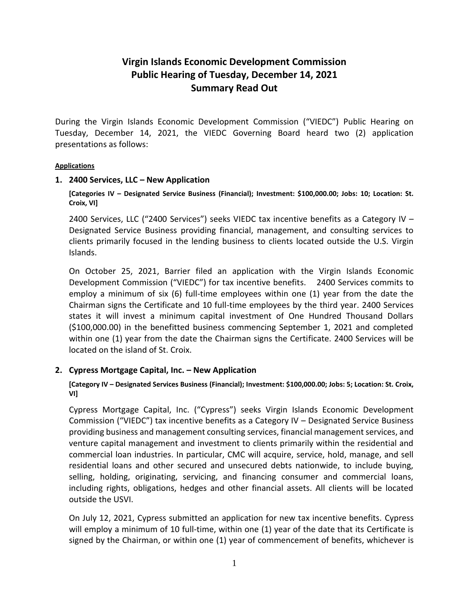# **Virgin Islands Economic Development Commission Public Hearing of Tuesday, December 14, 2021 Summary Read Out**

During the Virgin Islands Economic Development Commission ("VIEDC") Public Hearing on Tuesday, December 14, 2021, the VIEDC Governing Board heard two (2) application presentations as follows:

#### **Applications**

## **1. 2400 Services, LLC – New Application**

**[Categories IV – Designated Service Business (Financial); Investment: \$100,000.00; Jobs: 10; Location: St. Croix, VI]**

2400 Services, LLC ("2400 Services") seeks VIEDC tax incentive benefits as a Category IV – Designated Service Business providing financial, management, and consulting services to clients primarily focused in the lending business to clients located outside the U.S. Virgin Islands.

On October 25, 2021, Barrier filed an application with the Virgin Islands Economic Development Commission ("VIEDC") for tax incentive benefits. 2400 Services commits to employ a minimum of six (6) full-time employees within one (1) year from the date the Chairman signs the Certificate and 10 full-time employees by the third year. 2400 Services states it will invest a minimum capital investment of One Hundred Thousand Dollars (\$100,000.00) in the benefitted business commencing September 1, 2021 and completed within one (1) year from the date the Chairman signs the Certificate. 2400 Services will be located on the island of St. Croix.

## **2. Cypress Mortgage Capital, Inc. – New Application**

**[Category IV – Designated Services Business (Financial); Investment: \$100,000.00; Jobs: 5; Location: St. Croix, VI]**

Cypress Mortgage Capital, Inc. ("Cypress") seeks Virgin Islands Economic Development Commission ("VIEDC") tax incentive benefits as a Category IV – Designated Service Business providing business and management consulting services, financial management services, and venture capital management and investment to clients primarily within the residential and commercial loan industries. In particular, CMC will acquire, service, hold, manage, and sell residential loans and other secured and unsecured debts nationwide, to include buying, selling, holding, originating, servicing, and financing consumer and commercial loans, including rights, obligations, hedges and other financial assets. All clients will be located outside the USVI.

On July 12, 2021, Cypress submitted an application for new tax incentive benefits. Cypress will employ a minimum of 10 full-time, within one (1) year of the date that its Certificate is signed by the Chairman, or within one (1) year of commencement of benefits, whichever is